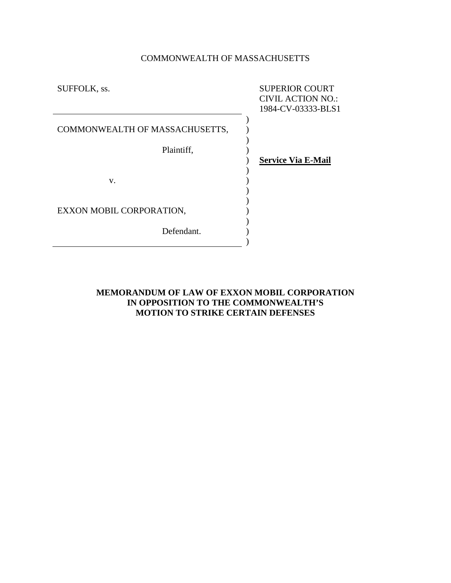# COMMONWEALTH OF MASSACHUSETTS

| SUFFOLK, ss.                   | <b>SUPERIOR COURT</b><br><b>CIVIL ACTION NO.:</b><br>1984-CV-03333-BLS1 |
|--------------------------------|-------------------------------------------------------------------------|
| COMMONWEALTH OF MASSACHUSETTS, |                                                                         |
| Plaintiff,                     |                                                                         |
|                                | <b>Service Via E-Mail</b>                                               |
| V.                             |                                                                         |
| EXXON MOBIL CORPORATION,       |                                                                         |
| Defendant.                     |                                                                         |

# **MEMORANDUM OF LAW OF EXXON MOBIL CORPORATION IN OPPOSITION TO THE COMMONWEALTH'S MOTION TO STRIKE CERTAIN DEFENSES**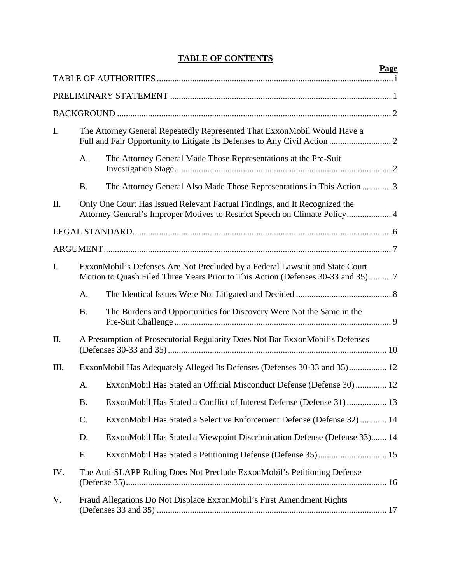# **TABLE OF CONTENTS**

|      |                 |                                                                                                                                                                  | <b>Page</b> |
|------|-----------------|------------------------------------------------------------------------------------------------------------------------------------------------------------------|-------------|
|      |                 |                                                                                                                                                                  |             |
|      |                 |                                                                                                                                                                  |             |
|      |                 |                                                                                                                                                                  |             |
| I.   |                 | The Attorney General Repeatedly Represented That ExxonMobil Would Have a                                                                                         |             |
|      | A.              | The Attorney General Made Those Representations at the Pre-Suit                                                                                                  |             |
|      | <b>B.</b>       | The Attorney General Also Made Those Representations in This Action  3                                                                                           |             |
| П.   |                 | Only One Court Has Issued Relevant Factual Findings, and It Recognized the<br>Attorney General's Improper Motives to Restrict Speech on Climate Policy 4         |             |
|      |                 |                                                                                                                                                                  |             |
|      |                 |                                                                                                                                                                  |             |
| I.   |                 | ExxonMobil's Defenses Are Not Precluded by a Federal Lawsuit and State Court<br>Motion to Quash Filed Three Years Prior to This Action (Defenses 30-33 and 35) 7 |             |
|      | A.              |                                                                                                                                                                  |             |
|      | <b>B.</b>       | The Burdens and Opportunities for Discovery Were Not the Same in the                                                                                             |             |
| Π.   |                 | A Presumption of Prosecutorial Regularity Does Not Bar ExxonMobil's Defenses                                                                                     |             |
| III. |                 | ExxonMobil Has Adequately Alleged Its Defenses (Defenses 30-33 and 35) 12                                                                                        |             |
|      | A.              | ExxonMobil Has Stated an Official Misconduct Defense (Defense 30) 12                                                                                             |             |
|      | <b>B.</b>       | ExxonMobil Has Stated a Conflict of Interest Defense (Defense 31) 13                                                                                             |             |
|      | $\mathcal{C}$ . | ExxonMobil Has Stated a Selective Enforcement Defense (Defense 32)  14                                                                                           |             |
|      | D.              | ExxonMobil Has Stated a Viewpoint Discrimination Defense (Defense 33) 14                                                                                         |             |
|      | E.              |                                                                                                                                                                  |             |
| IV.  |                 | The Anti-SLAPP Ruling Does Not Preclude ExxonMobil's Petitioning Defense                                                                                         |             |
| V.   |                 | Fraud Allegations Do Not Displace ExxonMobil's First Amendment Rights                                                                                            |             |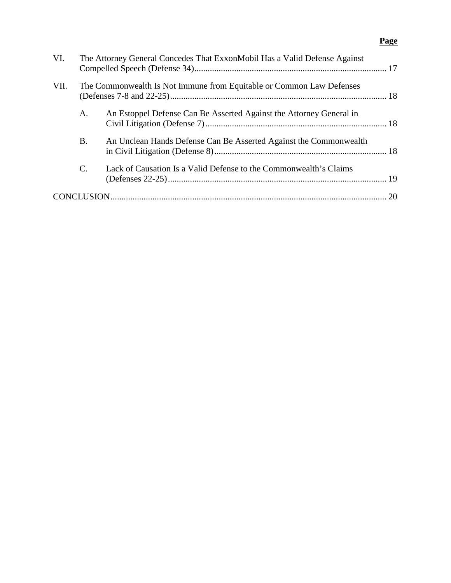# **Page**

| VI.                                                                          |                | The Attorney General Concedes That ExxonMobil Has a Valid Defense Against |  |
|------------------------------------------------------------------------------|----------------|---------------------------------------------------------------------------|--|
| VII.<br>The Commonwealth Is Not Immune from Equitable or Common Law Defenses |                |                                                                           |  |
|                                                                              | A.             | An Estoppel Defense Can Be Asserted Against the Attorney General in       |  |
|                                                                              | <b>B.</b>      | An Unclean Hands Defense Can Be Asserted Against the Commonwealth         |  |
|                                                                              | $\mathbf{C}$ . | Lack of Causation Is a Valid Defense to the Commonwealth's Claims         |  |
|                                                                              |                |                                                                           |  |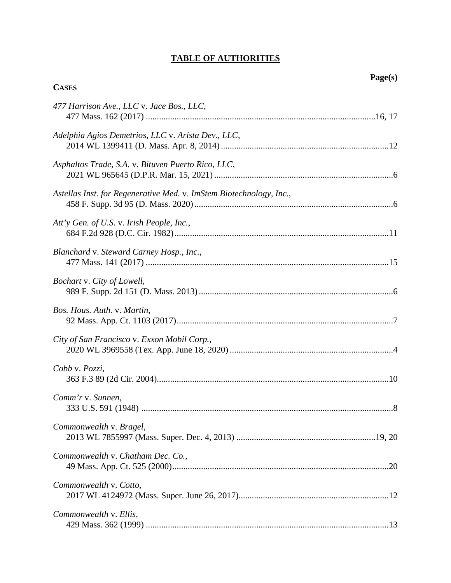# **TABLE OF AUTHORITIES**

<span id="page-3-0"></span>**CASES**

| 477 Harrison Ave., LLC v. Jace Bos., LLC,                           |
|---------------------------------------------------------------------|
| Adelphia Agios Demetrios, LLC v. Arista Dev., LLC,                  |
| Asphaltos Trade, S.A. v. Bituven Puerto Rico, LLC,                  |
| Astellas Inst. for Regenerative Med. v. ImStem Biotechnology, Inc., |
| Att'y Gen. of U.S. v. Irish People, Inc.,                           |
| Blanchard v. Steward Carney Hosp., Inc.,                            |
| Bochart v. City of Lowell,                                          |
| Bos. Hous. Auth. v. Martin,                                         |
| City of San Francisco v. Exxon Mobil Corp.,                         |
| Cobb v. Pozzi,                                                      |
| Comm'r v. Sunnen,                                                   |
| Commonwealth v. Bragel,                                             |
| Commonwealth v. Chatham Dec. Co.,                                   |
| Commonwealth v. Cotto,                                              |
| Commonwealth v. Ellis,                                              |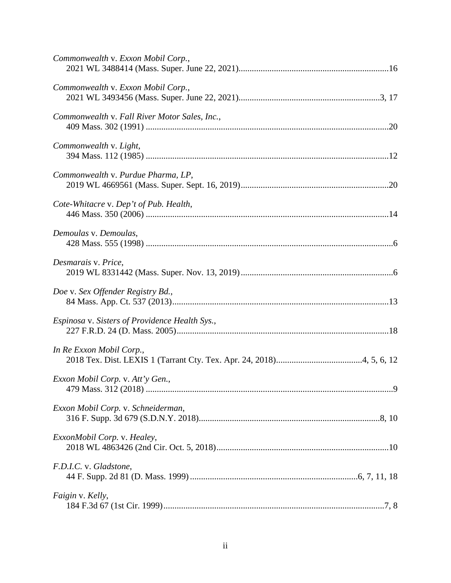| Commonwealth v. Exxon Mobil Corp.,             |
|------------------------------------------------|
| Commonwealth v. Exxon Mobil Corp.,             |
| Commonwealth v. Fall River Motor Sales, Inc.,  |
| Commonwealth v. Light,                         |
| Commonwealth v. Purdue Pharma, LP,             |
| Cote-Whitacre v. Dep't of Pub. Health,         |
| Demoulas v. Demoulas,                          |
| Desmarais v. Price,                            |
| Doe v. Sex Offender Registry Bd.,              |
| Espinosa v. Sisters of Providence Health Sys., |
| In Re Exxon Mobil Corp.,                       |
| Exxon Mobil Corp. v. Att'y Gen.,               |
| Exxon Mobil Corp. v. Schneiderman,             |
| ExxonMobil Corp. v. Healey,                    |
| F.D.I.C. v. Gladstone,                         |
| Faigin v. Kelly,                               |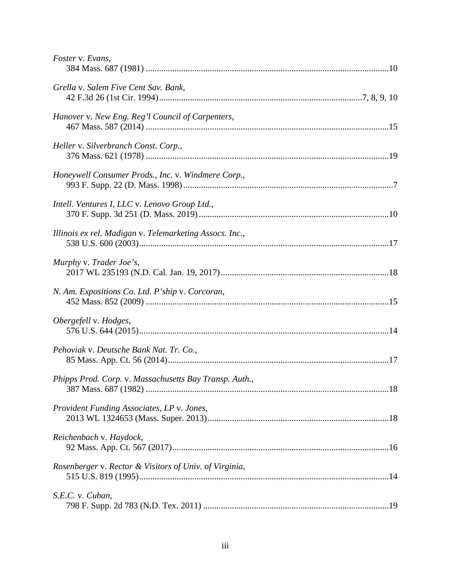| Foster v. Evans,                                        |  |
|---------------------------------------------------------|--|
| Grella v. Salem Five Cent Sav. Bank,                    |  |
| Hanover v. New Eng. Reg'l Council of Carpenters,        |  |
| Heller v. Silverbranch Const. Corp.,                    |  |
| Honeywell Consumer Prods., Inc. v. Windmere Corp.,      |  |
| Intell. Ventures I, LLC v. Lenovo Group Ltd.,           |  |
| Illinois ex rel. Madigan v. Telemarketing Assocs. Inc., |  |
| Murphy v. Trader Joe's,                                 |  |
| N. Am. Expositions Co. Ltd. P'ship v. Corcoran,         |  |
| Obergefell v. Hodges,                                   |  |
| Pehoviak v. Deutsche Bank Nat. Tr. Co.,                 |  |
| Phipps Prod. Corp. v. Massachusetts Bay Transp. Auth.,  |  |
| Provident Funding Associates, LP v. Jones,              |  |
| Reichenbach v. Haydock,                                 |  |
| Rosenberger v. Rector & Visitors of Univ. of Virginia,  |  |
| S.E.C. v. Cuban,                                        |  |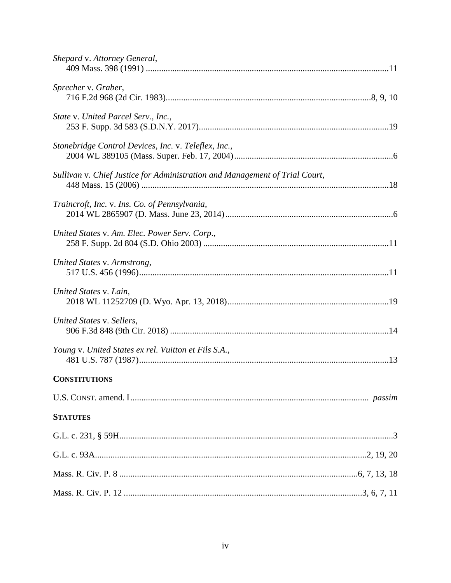| Shepard v. Attorney General,                                                |  |
|-----------------------------------------------------------------------------|--|
| Sprecher v. Graber,                                                         |  |
| State v. United Parcel Serv., Inc.,                                         |  |
| Stonebridge Control Devices, Inc. v. Teleflex, Inc.,                        |  |
| Sullivan v. Chief Justice for Administration and Management of Trial Court, |  |
| Traincroft, Inc. v. Ins. Co. of Pennsylvania,                               |  |
| United States v. Am. Elec. Power Serv. Corp.,                               |  |
| United States v. Armstrong,                                                 |  |
| United States v. Lain,                                                      |  |
| United States v. Sellers,                                                   |  |
| Young v. United States ex rel. Vuitton et Fils S.A.,                        |  |
| <b>CONSTITUTIONS</b>                                                        |  |
|                                                                             |  |
| <b>STATUTES</b>                                                             |  |
|                                                                             |  |
|                                                                             |  |
|                                                                             |  |
|                                                                             |  |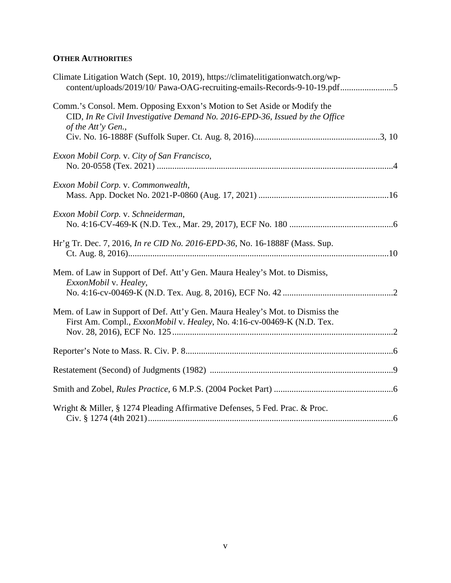# **OTHER AUTHORITIES**

| Climate Litigation Watch (Sept. 10, 2019), https://climatelitigationwatch.org/wp-<br>content/uploads/2019/10/ Pawa-OAG-recruiting-emails-Records-9-10-19.pdf5                |  |
|------------------------------------------------------------------------------------------------------------------------------------------------------------------------------|--|
| Comm.'s Consol. Mem. Opposing Exxon's Motion to Set Aside or Modify the<br>CID, In Re Civil Investigative Demand No. 2016-EPD-36, Issued by the Office<br>of the Att'y Gen., |  |
|                                                                                                                                                                              |  |
| Exxon Mobil Corp. v. City of San Francisco,                                                                                                                                  |  |
| Exxon Mobil Corp. v. Commonwealth,                                                                                                                                           |  |
| Exxon Mobil Corp. v. Schneiderman,                                                                                                                                           |  |
| Hr'g Tr. Dec. 7, 2016, <i>In re CID No. 2016-EPD-36</i> , No. 16-1888F (Mass. Sup.                                                                                           |  |
| Mem. of Law in Support of Def. Att'y Gen. Maura Healey's Mot. to Dismiss,<br>ExxonMobil v. Healey,                                                                           |  |
|                                                                                                                                                                              |  |
| Mem. of Law in Support of Def. Att'y Gen. Maura Healey's Mot. to Dismiss the<br>First Am. Compl., <i>ExxonMobil v. Healey</i> , No. 4:16-cv-00469-K (N.D. Tex.               |  |
|                                                                                                                                                                              |  |
|                                                                                                                                                                              |  |
|                                                                                                                                                                              |  |
|                                                                                                                                                                              |  |
| Wright & Miller, § 1274 Pleading Affirmative Defenses, 5 Fed. Prac. & Proc.                                                                                                  |  |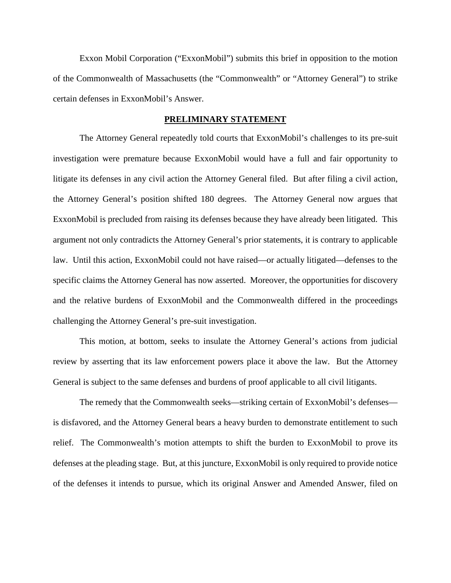Exxon Mobil Corporation ("ExxonMobil") submits this brief in opposition to the motion of the Commonwealth of Massachusetts (the "Commonwealth" or "Attorney General") to strike certain defenses in ExxonMobil's Answer.

### **PRELIMINARY STATEMENT**

<span id="page-8-0"></span>The Attorney General repeatedly told courts that ExxonMobil's challenges to its pre-suit investigation were premature because ExxonMobil would have a full and fair opportunity to litigate its defenses in any civil action the Attorney General filed. But after filing a civil action, the Attorney General's position shifted 180 degrees. The Attorney General now argues that ExxonMobil is precluded from raising its defenses because they have already been litigated. This argument not only contradicts the Attorney General's prior statements, it is contrary to applicable law. Until this action, ExxonMobil could not have raised—or actually litigated—defenses to the specific claims the Attorney General has now asserted. Moreover, the opportunities for discovery and the relative burdens of ExxonMobil and the Commonwealth differed in the proceedings challenging the Attorney General's pre-suit investigation.

This motion, at bottom, seeks to insulate the Attorney General's actions from judicial review by asserting that its law enforcement powers place it above the law. But the Attorney General is subject to the same defenses and burdens of proof applicable to all civil litigants.

The remedy that the Commonwealth seeks—striking certain of ExxonMobil's defenses is disfavored, and the Attorney General bears a heavy burden to demonstrate entitlement to such relief. The Commonwealth's motion attempts to shift the burden to ExxonMobil to prove its defenses at the pleading stage. But, at this juncture, ExxonMobil is only required to provide notice of the defenses it intends to pursue, which its original Answer and Amended Answer, filed on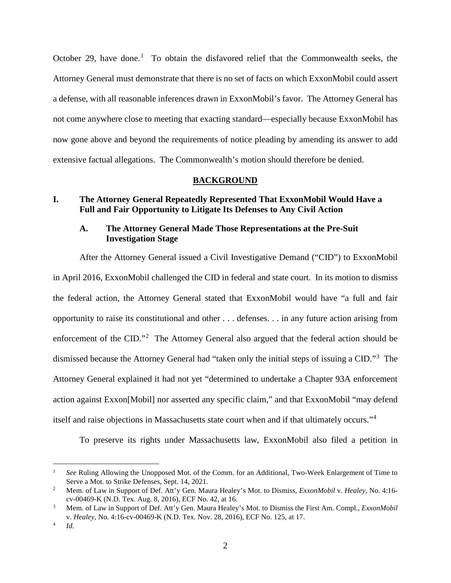October 29, have done.<sup>[1](#page-9-3)</sup> To obtain the disfavored relief that the Commonwealth seeks, the Attorney General must demonstrate that there is no set of facts on which ExxonMobil could assert a defense, with all reasonable inferences drawn in ExxonMobil's favor. The Attorney General has not come anywhere close to meeting that exacting standard—especially because ExxonMobil has now gone above and beyond the requirements of notice pleading by amending its answer to add extensive factual allegations. The Commonwealth's motion should therefore be denied.

### **BACKGROUND**

## <span id="page-9-1"></span><span id="page-9-0"></span>**I. The Attorney General Repeatedly Represented That ExxonMobil Would Have a Full and Fair Opportunity to Litigate Its Defenses to Any Civil Action**

## <span id="page-9-2"></span>**A. The Attorney General Made Those Representations at the Pre-Suit Investigation Stage**

After the Attorney General issued a Civil Investigative Demand ("CID") to ExxonMobil in April 2016, ExxonMobil challenged the CID in federal and state court. In its motion to dismiss the federal action, the Attorney General stated that ExxonMobil would have "a full and fair opportunity to raise its constitutional and other . . . defenses. . . in any future action arising from enforcement of the CID."<sup>[2](#page-9-4)</sup> The Attorney General also argued that the federal action should be dismissed because the Attorney General had "taken only the initial steps of issuing a CID."[3](#page-9-5) The Attorney General explained it had not yet "determined to undertake a Chapter 93A enforcement action against Exxon[Mobil] nor asserted any specific claim," and that ExxonMobil "may defend itself and raise objections in Massachusetts state court when and if that ultimately occurs."[4](#page-9-6)

To preserve its rights under Massachusetts law, ExxonMobil also filed a petition in

<span id="page-9-3"></span> $\frac{1}{1}$  *See* Ruling Allowing the Unopposed Mot. of the Comm. for an Additional, Two-Week Enlargement of Time to Serve a Mot. to Strike Defenses, Sept. 14, 2021.

<span id="page-9-4"></span><sup>2</sup> Mem. of Law in Support of Def. Att'y Gen. Maura Healey's Mot. to Dismiss, *ExxonMobil* v. *Healey*, No. 4:16 cv-00469-K (N.D. Tex. Aug. 8, 2016), ECF No. 42, at 16. 3 Mem. of Law in Support of Def. Att'y Gen. Maura Healey's Mot. to Dismiss the First Am. Compl., *ExxonMobil* 

<span id="page-9-5"></span>v. *Healey*, No. 4:16-cv-00469-K (N.D. Tex. Nov. 28, 2016), ECF No. 125, at 17.

<span id="page-9-6"></span><sup>4</sup> *Id.*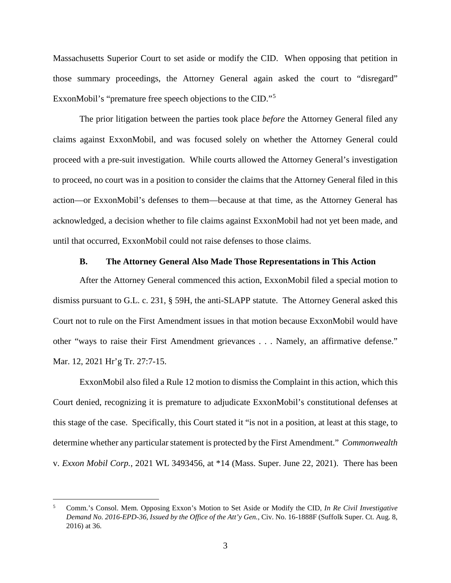Massachusetts Superior Court to set aside or modify the CID. When opposing that petition in those summary proceedings, the Attorney General again asked the court to "disregard" ExxonMobil's "premature free speech objections to the CID."<sup>[5](#page-10-1)</sup>

The prior litigation between the parties took place *before* the Attorney General filed any claims against ExxonMobil, and was focused solely on whether the Attorney General could proceed with a pre-suit investigation. While courts allowed the Attorney General's investigation to proceed, no court was in a position to consider the claims that the Attorney General filed in this action—or ExxonMobil's defenses to them—because at that time, as the Attorney General has acknowledged, a decision whether to file claims against ExxonMobil had not yet been made, and until that occurred, ExxonMobil could not raise defenses to those claims.

### **B. The Attorney General Also Made Those Representations in This Action**

<span id="page-10-0"></span>After the Attorney General commenced this action, ExxonMobil filed a special motion to dismiss pursuant to G.L. c. 231, § 59H, the anti-SLAPP statute. The Attorney General asked this Court not to rule on the First Amendment issues in that motion because ExxonMobil would have other "ways to raise their First Amendment grievances . . . Namely, an affirmative defense." Mar. 12, 2021 Hr'g Tr. 27:7-15.

ExxonMobil also filed a Rule 12 motion to dismiss the Complaint in this action, which this Court denied, recognizing it is premature to adjudicate ExxonMobil's constitutional defenses at this stage of the case. Specifically, this Court stated it "is not in a position, at least at this stage, to determine whether any particular statement is protected by the First Amendment." *Commonwealth* v. *Exxon Mobil Corp.*, 2021 WL 3493456, at \*14 (Mass. Super. June 22, 2021). There has been

<span id="page-10-1"></span> <sup>5</sup> Comm.'s Consol. Mem. Opposing Exxon's Motion to Set Aside or Modify the CID, *In Re Civil Investigative Demand No. 2016-EPD-36, Issued by the Office of the Att'y Gen.*, Civ. No. 16-1888F (Suffolk Super. Ct. Aug. 8, 2016) at 36.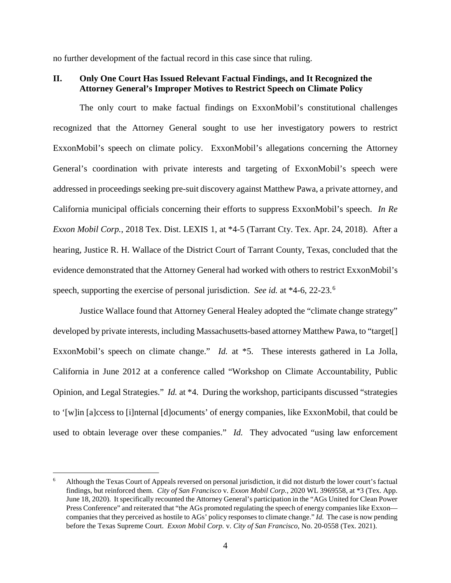no further development of the factual record in this case since that ruling.

### <span id="page-11-0"></span>**II. Only One Court Has Issued Relevant Factual Findings, and It Recognized the Attorney General's Improper Motives to Restrict Speech on Climate Policy**

The only court to make factual findings on ExxonMobil's constitutional challenges recognized that the Attorney General sought to use her investigatory powers to restrict ExxonMobil's speech on climate policy. ExxonMobil's allegations concerning the Attorney General's coordination with private interests and targeting of ExxonMobil's speech were addressed in proceedings seeking pre-suit discovery against Matthew Pawa, a private attorney, and California municipal officials concerning their efforts to suppress ExxonMobil's speech. *In Re Exxon Mobil Corp.*, 2018 Tex. Dist. LEXIS 1, at \*4-5 (Tarrant Cty. Tex. Apr. 24, 2018). After a hearing, Justice R. H. Wallace of the District Court of Tarrant County, Texas, concluded that the evidence demonstrated that the Attorney General had worked with others to restrict ExxonMobil's speech, supporting the exercise of personal jurisdiction. *See id.* at \*4-6, 22-23. [6](#page-11-1)

Justice Wallace found that Attorney General Healey adopted the "climate change strategy" developed by private interests, including Massachusetts-based attorney Matthew Pawa, to "target[] ExxonMobil's speech on climate change." *Id.* at \*5. These interests gathered in La Jolla, California in June 2012 at a conference called "Workshop on Climate Accountability, Public Opinion, and Legal Strategies." *Id.* at \*4. During the workshop, participants discussed "strategies to '[w]in [a]ccess to [i]nternal [d]ocuments' of energy companies, like ExxonMobil, that could be used to obtain leverage over these companies." *Id.* They advocated "using law enforcement

<span id="page-11-1"></span> <sup>6</sup> Although the Texas Court of Appeals reversed on personal jurisdiction, it did not disturb the lower court's factual findings, but reinforced them. *City of San Francisco* v. *Exxon Mobil Corp.*, 2020 WL 3969558, at \*3 (Tex. App. June 18, 2020). It specifically recounted the Attorney General's participation in the "AGs United for Clean Power Press Conference" and reiterated that "the AGs promoted regulating the speech of energy companies like Exxon companies that they perceived as hostile to AGs' policy responses to climate change." *Id.* The case is now pending before the Texas Supreme Court. *Exxon Mobil Corp.* v. *City of San Francisco*, No. 20-0558 (Tex. 2021).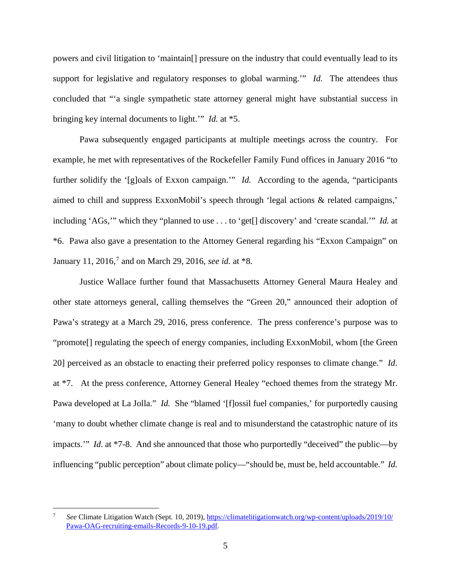powers and civil litigation to 'maintain[] pressure on the industry that could eventually lead to its support for legislative and regulatory responses to global warming." *Id.* The attendees thus concluded that "'a single sympathetic state attorney general might have substantial success in bringing key internal documents to light.'" *Id.* at \*5.

Pawa subsequently engaged participants at multiple meetings across the country. For example, he met with representatives of the Rockefeller Family Fund offices in January 2016 "to further solidify the '[g]oals of Exxon campaign.'" *Id.* According to the agenda, "participants aimed to chill and suppress ExxonMobil's speech through 'legal actions & related campaigns,' including 'AGs,'" which they "planned to use . . . to 'get[] discovery' and 'create scandal.'" *Id.* at \*6. Pawa also gave a presentation to the Attorney General regarding his "Exxon Campaign" on January 11, 2016,<sup>[7](#page-12-0)</sup> and on March 29, 2016, *see id.* at \*8.

Justice Wallace further found that Massachusetts Attorney General Maura Healey and other state attorneys general, calling themselves the "Green 20," announced their adoption of Pawa's strategy at a March 29, 2016, press conference. The press conference's purpose was to "promote[] regulating the speech of energy companies, including ExxonMobil, whom [the Green 20] perceived as an obstacle to enacting their preferred policy responses to climate change." *Id.*  at \*7. At the press conference, Attorney General Healey "echoed themes from the strategy Mr. Pawa developed at La Jolla." *Id.* She "blamed '[f]ossil fuel companies,' for purportedly causing 'many to doubt whether climate change is real and to misunderstand the catastrophic nature of its impacts.'" *Id.* at \*7-8. And she announced that those who purportedly "deceived" the public—by influencing "public perception" about climate policy—"should be, must be, held accountable." *Id.* 

<span id="page-12-0"></span><sup>-&</sup>lt;br>7 *See* Climate Litigation Watch (Sept. 10, 2019), [https://climatelitigationwatch.org/wp-content/uploads/2019/10/](https://climatelitigationwatch.org/wp-content/uploads/2019/10/%20Pawa-OAG-recruiting-emails-Records-9-10-19.pdf)  [Pawa-OAG-recruiting-emails-Records-9-10-19.pdf.](https://climatelitigationwatch.org/wp-content/uploads/2019/10/%20Pawa-OAG-recruiting-emails-Records-9-10-19.pdf)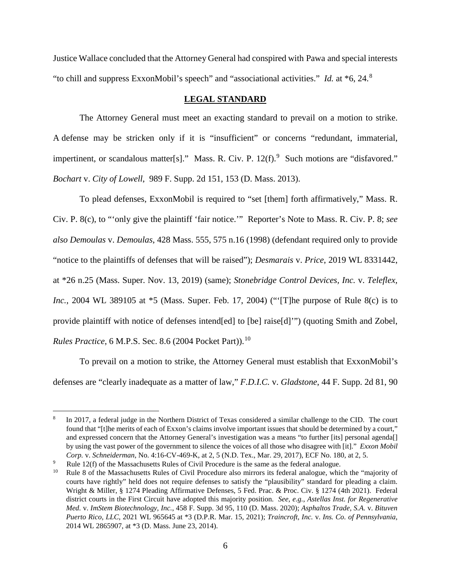Justice Wallace concluded that the Attorney General had conspired with Pawa and special interests "to chill and suppress ExxonMobil's speech" and "associational activities." *Id.* at \*6, 24. [8](#page-13-1)

# **LEGAL STANDARD**

<span id="page-13-0"></span>The Attorney General must meet an exacting standard to prevail on a motion to strike. A defense may be stricken only if it is "insufficient" or concerns "redundant, immaterial, impertinent, or scandalous matter[s]." Mass. R. Civ. P.  $12(f)$ . Such motions are "disfavored." *Bochart* v. *City of Lowell*, 989 F. Supp. 2d 151, 153 (D. Mass. 2013).

To plead defenses, ExxonMobil is required to "set [them] forth affirmatively," Mass. R. Civ. P. 8(c), to "'only give the plaintiff 'fair notice.'" Reporter's Note to Mass. R. Civ. P. 8; *see also Demoulas* v. *Demoulas*, 428 Mass. 555, 575 n.16 (1998) (defendant required only to provide "notice to the plaintiffs of defenses that will be raised"); *Desmarais* v. *Price*, 2019 WL 8331442, at \*26 n.25 (Mass. Super. Nov. 13, 2019) (same); *Stonebridge Control Devices, Inc.* v. *Teleflex, Inc.*, 2004 WL 389105 at \*5 (Mass. Super. Feb. 17, 2004) ("The purpose of Rule 8(c) is to provide plaintiff with notice of defenses intend[ed] to [be] raise[d]'") (quoting Smith and Zobel, *Rules Practice*, 6 M.P.S. Sec. 8.6 (2004 Pocket Part)). [10](#page-13-3)

To prevail on a motion to strike, the Attorney General must establish that ExxonMobil's defenses are "clearly inadequate as a matter of law," *F.D.I.C.* v. *Gladstone*, 44 F. Supp. 2d 81, 90

<span id="page-13-1"></span> $\frac{1}{8}$  In 2017, a federal judge in the Northern District of Texas considered a similar challenge to the CID. The court found that "[t]he merits of each of Exxon's claims involve important issues that should be determined by a court," and expressed concern that the Attorney General's investigation was a means "to further [its] personal agenda[] by using the vast power of the government to silence the voices of all those who disagree with [it]." *Exxon Mobil Corp.* v. *Schneiderman*, No. 4:16-CV-469-K, at 2, 5 (N.D. Tex., Mar. 29, 2017), ECF No. 180, at 2, 5.

<span id="page-13-2"></span><sup>9</sup> <sup>9</sup> Rule 12(f) of the Massachusetts Rules of Civil Procedure is the same as the federal analogue.<br><sup>10</sup> Rule 8 of the Massachusetts Rules of Civil Procedure also mirrors its federal analogue, which

<span id="page-13-3"></span><sup>10</sup> Rule 8 of the Massachusetts Rules of Civil Procedure also mirrors its federal analogue, which the "majority of courts have rightly" held does not require defenses to satisfy the "plausibility" standard for pleading a claim. Wright & Miller, § 1274 Pleading Affirmative Defenses, 5 Fed. Prac. & Proc. Civ. § 1274 (4th 2021). Federal district courts in the First Circuit have adopted this majority position. *See, e.g.*, *Astellas Inst. for Regenerative Med.* v. *ImStem Biotechnology, Inc.*, 458 F. Supp. 3d 95, 110 (D. Mass. 2020); *Asphaltos Trade, S.A.* v. *Bituven Puerto Rico, LLC*, 2021 WL 965645 at \*3 (D.P.R. Mar. 15, 2021); *Traincroft, Inc.* v. *Ins. Co. of Pennsylvania*, 2014 WL 2865907, at \*3 (D. Mass. June 23, 2014).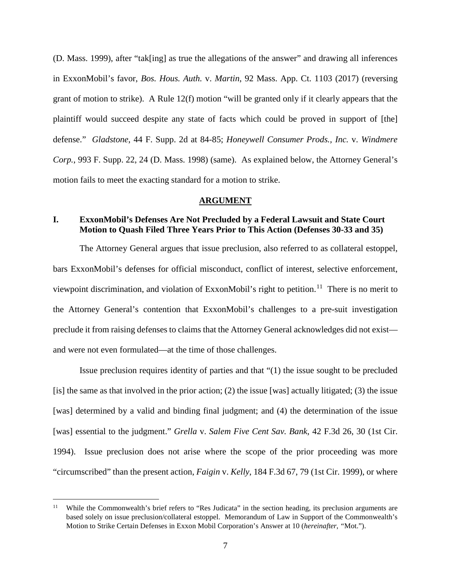(D. Mass. 1999), after "tak[ing] as true the allegations of the answer" and drawing all inferences in ExxonMobil's favor, *Bos. Hous. Auth.* v. *Martin*, 92 Mass. App. Ct. 1103 (2017) (reversing grant of motion to strike). A Rule 12(f) motion "will be granted only if it clearly appears that the plaintiff would succeed despite any state of facts which could be proved in support of [the] defense." *Gladstone*, 44 F. Supp. 2d at 84-85; *Honeywell Consumer Prods., Inc.* v. *Windmere Corp.*, 993 F. Supp. 22, 24 (D. Mass. 1998) (same). As explained below, the Attorney General's motion fails to meet the exacting standard for a motion to strike.

### **ARGUMENT**

### <span id="page-14-1"></span><span id="page-14-0"></span>**I. ExxonMobil's Defenses Are Not Precluded by a Federal Lawsuit and State Court Motion to Quash Filed Three Years Prior to This Action (Defenses 30-33 and 35)**

The Attorney General argues that issue preclusion, also referred to as collateral estoppel, bars ExxonMobil's defenses for official misconduct, conflict of interest, selective enforcement, viewpoint discrimination, and violation of ExxonMobil's right to petition.<sup>[11](#page-14-2)</sup> There is no merit to the Attorney General's contention that ExxonMobil's challenges to a pre-suit investigation preclude it from raising defenses to claims that the Attorney General acknowledges did not exist and were not even formulated—at the time of those challenges.

Issue preclusion requires identity of parties and that "(1) the issue sought to be precluded [is] the same as that involved in the prior action; (2) the issue [was] actually litigated; (3) the issue [was] determined by a valid and binding final judgment; and (4) the determination of the issue [was] essential to the judgment." *Grella* v. *Salem Five Cent Sav. Bank*, 42 F.3d 26, 30 (1st Cir. 1994). Issue preclusion does not arise where the scope of the prior proceeding was more "circumscribed" than the present action, *Faigin* v. *Kelly*, 184 F.3d 67, 79 (1st Cir. 1999), or where

<span id="page-14-2"></span><sup>&</sup>lt;sup>11</sup> While the Commonwealth's brief refers to "Res Judicata" in the section heading, its preclusion arguments are based solely on issue preclusion/collateral estoppel. Memorandum of Law in Support of the Commonwealth's Motion to Strike Certain Defenses in Exxon Mobil Corporation's Answer at 10 (*hereinafter*, *"*Mot.").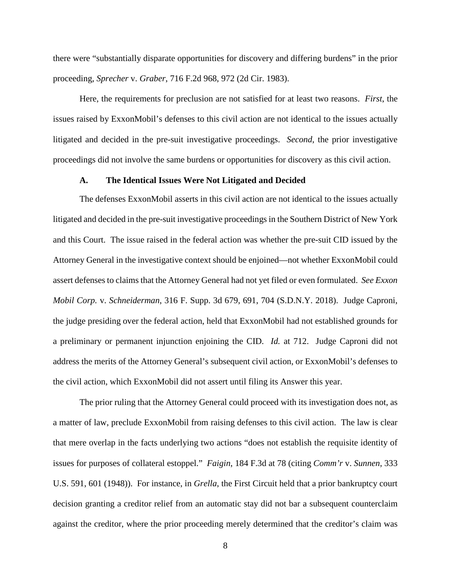there were "substantially disparate opportunities for discovery and differing burdens" in the prior proceeding, *Sprecher* v. *Graber*, 716 F.2d 968, 972 (2d Cir. 1983).

Here, the requirements for preclusion are not satisfied for at least two reasons. *First*, the issues raised by ExxonMobil's defenses to this civil action are not identical to the issues actually litigated and decided in the pre-suit investigative proceedings. *Second*, the prior investigative proceedings did not involve the same burdens or opportunities for discovery as this civil action.

### **A. The Identical Issues Were Not Litigated and Decided**

<span id="page-15-0"></span>The defenses ExxonMobil asserts in this civil action are not identical to the issues actually litigated and decided in the pre-suit investigative proceedings in the Southern District of New York and this Court. The issue raised in the federal action was whether the pre-suit CID issued by the Attorney General in the investigative context should be enjoined—not whether ExxonMobil could assert defenses to claims that the Attorney General had not yet filed or even formulated. *See Exxon Mobil Corp.* v. *Schneiderman*, 316 F. Supp. 3d 679, 691, 704 (S.D.N.Y. 2018).Judge Caproni, the judge presiding over the federal action, held that ExxonMobil had not established grounds for a preliminary or permanent injunction enjoining the CID. *Id.* at 712. Judge Caproni did not address the merits of the Attorney General's subsequent civil action, or ExxonMobil's defenses to the civil action, which ExxonMobil did not assert until filing its Answer this year.

The prior ruling that the Attorney General could proceed with its investigation does not, as a matter of law, preclude ExxonMobil from raising defenses to this civil action. The law is clear that mere overlap in the facts underlying two actions "does not establish the requisite identity of issues for purposes of collateral estoppel." *Faigin*, 184 F.3d at 78 (citing *Comm'r* v. *Sunnen*, 333 U.S. 591, 601 (1948)). For instance, in *Grella*, the First Circuit held that a prior bankruptcy court decision granting a creditor relief from an automatic stay did not bar a subsequent counterclaim against the creditor, where the prior proceeding merely determined that the creditor's claim was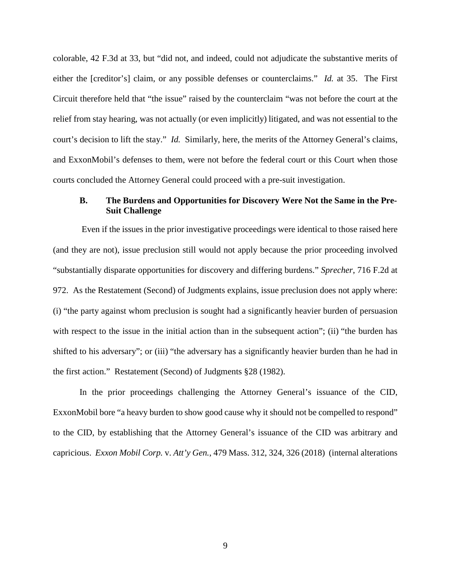colorable, 42 F.3d at 33, but "did not, and indeed, could not adjudicate the substantive merits of either the [creditor's] claim, or any possible defenses or counterclaims." *Id.* at 35. The First Circuit therefore held that "the issue" raised by the counterclaim "was not before the court at the relief from stay hearing, was not actually (or even implicitly) litigated, and was not essential to the court's decision to lift the stay." *Id.* Similarly, here, the merits of the Attorney General's claims, and ExxonMobil's defenses to them, were not before the federal court or this Court when those courts concluded the Attorney General could proceed with a pre-suit investigation.

## <span id="page-16-0"></span>**B. The Burdens and Opportunities for Discovery Were Not the Same in the Pre-Suit Challenge**

Even if the issues in the prior investigative proceedings were identical to those raised here (and they are not), issue preclusion still would not apply because the prior proceeding involved "substantially disparate opportunities for discovery and differing burdens." *Sprecher*, 716 F.2d at 972. As the Restatement (Second) of Judgments explains, issue preclusion does not apply where: (i) "the party against whom preclusion is sought had a significantly heavier burden of persuasion with respect to the issue in the initial action than in the subsequent action"; (ii) "the burden has shifted to his adversary"; or (iii) "the adversary has a significantly heavier burden than he had in the first action." Restatement (Second) of Judgments §28 (1982).

In the prior proceedings challenging the Attorney General's issuance of the CID, ExxonMobil bore "a heavy burden to show good cause why it should not be compelled to respond" to the CID, by establishing that the Attorney General's issuance of the CID was arbitrary and capricious. *Exxon Mobil Corp.* v. *Att'y Gen.*, 479 Mass. 312, 324, 326 (2018) (internal alterations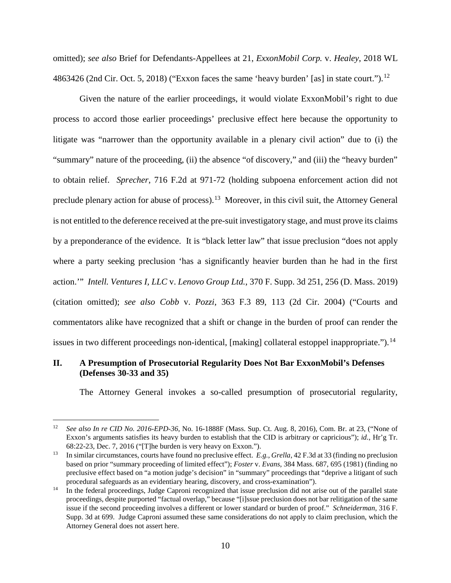omitted); *see also* Brief for Defendants-Appellees at 21, *ExxonMobil Corp.* v. *Healey*, 2018 WL 4863426 (2nd Cir. Oct. 5, 2018) ("Exxon faces the same 'heavy burden' [as] in state court.").<sup>[12](#page-17-1)</sup>

Given the nature of the earlier proceedings, it would violate ExxonMobil's right to due process to accord those earlier proceedings' preclusive effect here because the opportunity to litigate was "narrower than the opportunity available in a plenary civil action" due to (i) the "summary" nature of the proceeding, (ii) the absence "of discovery," and (iii) the "heavy burden" to obtain relief. *Sprecher*, 716 F.2d at 971-72 (holding subpoena enforcement action did not preclude plenary action for abuse of process).<sup>[13](#page-17-2)</sup> Moreover, in this civil suit, the Attorney General is not entitled to the deference received at the pre-suit investigatory stage, and must prove its claims by a preponderance of the evidence. It is "black letter law" that issue preclusion "does not apply where a party seeking preclusion 'has a significantly heavier burden than he had in the first action.'" *Intell. Ventures I, LLC* v. *Lenovo Group Ltd.*, 370 F. Supp. 3d 251, 256 (D. Mass. 2019) (citation omitted); *see also Cobb* v. *Pozzi*, 363 F.3 89, 113 (2d Cir. 2004) ("Courts and commentators alike have recognized that a shift or change in the burden of proof can render the issues in two different proceedings non-identical, [making] collateral estoppel inappropriate.").<sup>[14](#page-17-3)</sup>

### <span id="page-17-0"></span>**II. A Presumption of Prosecutorial Regularity Does Not Bar ExxonMobil's Defenses (Defenses 30-33 and 35)**

The Attorney General invokes a so-called presumption of prosecutorial regularity,

<span id="page-17-1"></span> <sup>12</sup> *See also In re CID No. 2016-EPD-36*, No. 16-1888F (Mass. Sup. Ct. Aug. 8, 2016), Com. Br. at 23, ("None of Exxon's arguments satisfies its heavy burden to establish that the CID is arbitrary or capricious"); *id.*, Hr'g Tr. 68:22-23, Dec. 7, 2016 ("[T]he burden is very heavy on Exxon."). 13 In similar circumstances, courts have found no preclusive effect. *E.g.*, *Grella*, 42 F.3d at 33 (finding no preclusion

<span id="page-17-2"></span>based on prior "summary proceeding of limited effect"); *Foster* v. *Evans*, 384 Mass. 687, 695 (1981) (finding no preclusive effect based on "a motion judge's decision" in "summary" proceedings that "deprive a litigant of such procedural safeguards as an evidentiary hearing, discovery, and cross-examination").<br><sup>14</sup> In the federal proceedings, Judge Caproni recognized that issue preclusion did not arise out of the parallel state

<span id="page-17-3"></span>proceedings, despite purported "factual overlap," because "[i]ssue preclusion does not bar relitigation of the same issue if the second proceeding involves a different or lower standard or burden of proof." *Schneiderman*, 316 F. Supp. 3d at 699.Judge Caproni assumed these same considerations do not apply to claim preclusion, which the Attorney General does not assert here.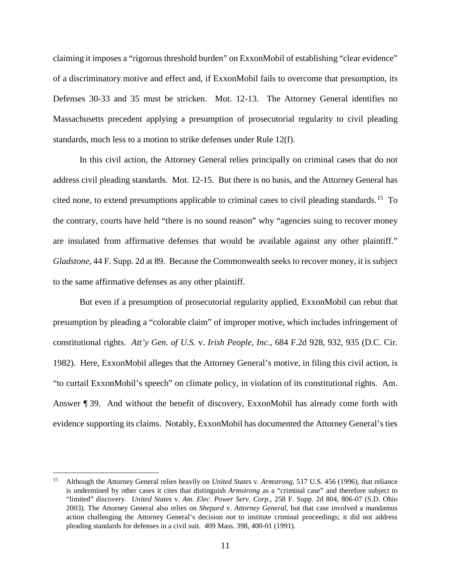claiming it imposes a "rigorous threshold burden" on ExxonMobil of establishing "clear evidence" of a discriminatory motive and effect and, if ExxonMobil fails to overcome that presumption, its Defenses 30-33 and 35 must be stricken. Mot. 12-13. The Attorney General identifies no Massachusetts precedent applying a presumption of prosecutorial regularity to civil pleading standards, much less to a motion to strike defenses under Rule 12(f).

In this civil action, the Attorney General relies principally on criminal cases that do not address civil pleading standards. Mot. 12-15. But there is no basis, and the Attorney General has cited none, to extend presumptions applicable to criminal cases to civil pleading standards. [15](#page-18-0) To the contrary, courts have held "there is no sound reason" why "agencies suing to recover money are insulated from affirmative defenses that would be available against any other plaintiff." *Gladstone*, 44 F. Supp. 2d at 89. Because the Commonwealth seeks to recover money, it is subject to the same affirmative defenses as any other plaintiff.

But even if a presumption of prosecutorial regularity applied, ExxonMobil can rebut that presumption by pleading a "colorable claim" of improper motive, which includes infringement of constitutional rights. *Att'y Gen. of U.S.* v. *Irish People, Inc.*, 684 F.2d 928, 932, 935 (D.C. Cir. 1982). Here, ExxonMobil alleges that the Attorney General's motive, in filing this civil action, is "to curtail ExxonMobil's speech" on climate policy, in violation of its constitutional rights. Am. Answer ¶ 39. And without the benefit of discovery, ExxonMobil has already come forth with evidence supporting its claims. Notably, ExxonMobil has documented the Attorney General's ties

<span id="page-18-0"></span> <sup>15</sup> Although the Attorney General relies heavily on *United States* v. *Armstrong*, 517 U.S. 456 (1996), that reliance is undermined by other cases it cites that distinguish *Armstrong* as a "criminal case" and therefore subject to "limited" discovery. *United States* v. *Am. Elec. Power Serv. Corp*., 258 F. Supp. 2d 804, 806-07 (S.D. Ohio 2003). The Attorney General also relies on *Shepard* v. *Attorney General*, but that case involved a mandamus action challenging the Attorney General's decision *not* to institute criminal proceedings; it did not address pleading standards for defenses in a civil suit. 409 Mass. 398, 400-01 (1991).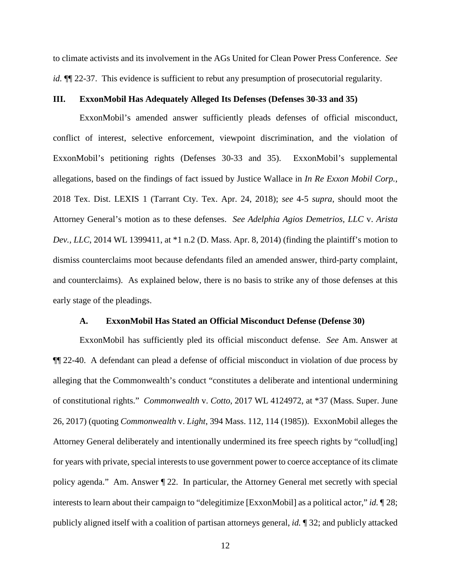to climate activists and its involvement in the AGs United for Clean Power Press Conference. *See id.*  $\P$  22-37. This evidence is sufficient to rebut any presumption of prosecutorial regularity.

## <span id="page-19-0"></span>**III. ExxonMobil Has Adequately Alleged Its Defenses (Defenses 30-33 and 35)**

ExxonMobil's amended answer sufficiently pleads defenses of official misconduct, conflict of interest, selective enforcement, viewpoint discrimination, and the violation of ExxonMobil's petitioning rights (Defenses 30-33 and 35). ExxonMobil's supplemental allegations, based on the findings of fact issued by Justice Wallace in *In Re Exxon Mobil Corp.*, 2018 Tex. Dist. LEXIS 1 (Tarrant Cty. Tex. Apr. 24, 2018); *see* 4-5 *supra*, should moot the Attorney General's motion as to these defenses. *See Adelphia Agios Demetrios, LLC* v. *Arista Dev., LLC*, 2014 WL 1399411, at \*1 n.2 (D. Mass. Apr. 8, 2014) (finding the plaintiff's motion to dismiss counterclaims moot because defendants filed an amended answer, third-party complaint, and counterclaims).As explained below, there is no basis to strike any of those defenses at this early stage of the pleadings.

#### **A. ExxonMobil Has Stated an Official Misconduct Defense (Defense 30)**

<span id="page-19-1"></span>ExxonMobil has sufficiently pled its official misconduct defense. *See* Am. Answer at ¶¶ 22-40. A defendant can plead a defense of official misconduct in violation of due process by alleging that the Commonwealth's conduct "constitutes a deliberate and intentional undermining of constitutional rights." *Commonwealth* v. *Cotto*, 2017 WL 4124972, at \*37 (Mass. Super. June 26, 2017) (quoting *Commonwealth* v. *Light*, 394 Mass. 112, 114 (1985)). ExxonMobil alleges the Attorney General deliberately and intentionally undermined its free speech rights by "collud[ing] for years with private, special interests to use government power to coerce acceptance of its climate policy agenda." Am. Answer ¶ 22. In particular, the Attorney General met secretly with special interests to learn about their campaign to "delegitimize [ExxonMobil] as a political actor," *id.* ¶ 28; publicly aligned itself with a coalition of partisan attorneys general, *id.* ¶ 32; and publicly attacked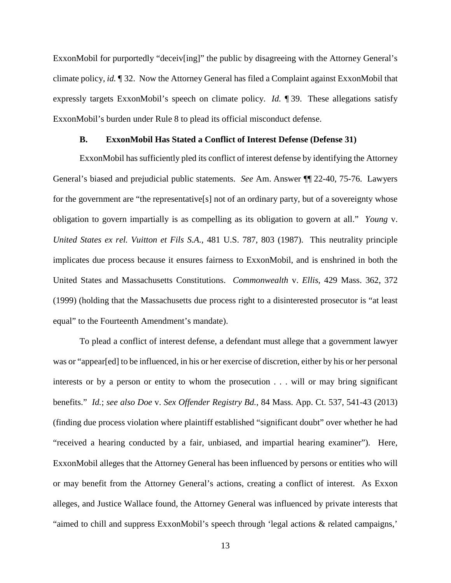ExxonMobil for purportedly "deceiv[ing]" the public by disagreeing with the Attorney General's climate policy, *id.* ¶ 32. Now the Attorney General has filed a Complaint against ExxonMobil that expressly targets ExxonMobil's speech on climate policy. *Id.* ¶ 39. These allegations satisfy ExxonMobil's burden under Rule 8 to plead its official misconduct defense.

### **B. ExxonMobil Has Stated a Conflict of Interest Defense (Defense 31)**

<span id="page-20-0"></span>ExxonMobil has sufficiently pled its conflict of interest defense by identifying the Attorney General's biased and prejudicial public statements. *See* Am. Answer ¶¶ 22-40, 75-76. Lawyers for the government are "the representative[s] not of an ordinary party, but of a sovereignty whose obligation to govern impartially is as compelling as its obligation to govern at all." *Young* v. *United States ex rel. Vuitton et Fils S.A.*, 481 U.S. 787, 803 (1987). This neutrality principle implicates due process because it ensures fairness to ExxonMobil, and is enshrined in both the United States and Massachusetts Constitutions. *Commonwealth* v. *Ellis*, 429 Mass. 362, 372 (1999) (holding that the Massachusetts due process right to a disinterested prosecutor is "at least equal" to the Fourteenth Amendment's mandate).

To plead a conflict of interest defense, a defendant must allege that a government lawyer was or "appear[ed] to be influenced, in his or her exercise of discretion, either by his or her personal interests or by a person or entity to whom the prosecution . . . will or may bring significant benefits." *Id.*; *see also Doe* v. *Sex Offender Registry Bd.*, 84 Mass. App. Ct. 537, 541-43 (2013) (finding due process violation where plaintiff established "significant doubt" over whether he had "received a hearing conducted by a fair, unbiased, and impartial hearing examiner"). Here, ExxonMobil alleges that the Attorney General has been influenced by persons or entities who will or may benefit from the Attorney General's actions, creating a conflict of interest. As Exxon alleges, and Justice Wallace found, the Attorney General was influenced by private interests that "aimed to chill and suppress ExxonMobil's speech through 'legal actions & related campaigns,'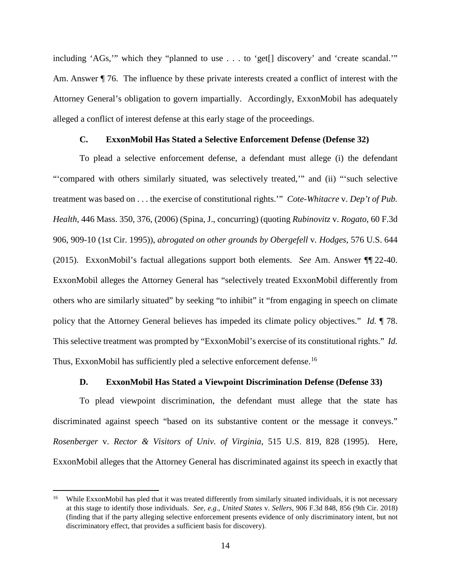including 'AGs,'" which they "planned to use . . . to 'get[] discovery' and 'create scandal.'" Am. Answer  $\P$  76. The influence by these private interests created a conflict of interest with the Attorney General's obligation to govern impartially. Accordingly, ExxonMobil has adequately alleged a conflict of interest defense at this early stage of the proceedings.

### **C. ExxonMobil Has Stated a Selective Enforcement Defense (Defense 32)**

<span id="page-21-0"></span>To plead a selective enforcement defense, a defendant must allege (i) the defendant "'compared with others similarly situated, was selectively treated,'" and (ii) "'such selective treatment was based on . . . the exercise of constitutional rights.'" *Cote-Whitacre* v. *Dep't of Pub. Health*, 446 Mass. 350, 376, (2006) (Spina, J., concurring) (quoting *Rubinovitz* v. *Rogato*, 60 F.3d 906, 909-10 (1st Cir. 1995)), *abrogated on other grounds by Obergefell* v*. Hodges*, 576 U.S. 644 (2015). ExxonMobil's factual allegations support both elements. *See* Am. Answer ¶¶ 22-40. ExxonMobil alleges the Attorney General has "selectively treated ExxonMobil differently from others who are similarly situated" by seeking "to inhibit" it "from engaging in speech on climate policy that the Attorney General believes has impeded its climate policy objectives." *Id.* ¶ 78. This selective treatment was prompted by "ExxonMobil's exercise of its constitutional rights." *Id.* Thus, ExxonMobil has sufficiently pled a selective enforcement defense.<sup>[16](#page-21-2)</sup>

## **D. ExxonMobil Has Stated a Viewpoint Discrimination Defense (Defense 33)**

<span id="page-21-1"></span>To plead viewpoint discrimination, the defendant must allege that the state has discriminated against speech "based on its substantive content or the message it conveys." *Rosenberger* v. *Rector & Visitors of Univ. of Virginia*, 515 U.S. 819, 828 (1995). Here, ExxonMobil alleges that the Attorney General has discriminated against its speech in exactly that

<span id="page-21-2"></span>While ExxonMobil has pled that it was treated differently from similarly situated individuals, it is not necessary at this stage to identify those individuals. *See, e.g.*, *United States* v. *Sellers*, 906 F.3d 848, 856 (9th Cir. 2018) (finding that if the party alleging selective enforcement presents evidence of only discriminatory intent, but not discriminatory effect, that provides a sufficient basis for discovery).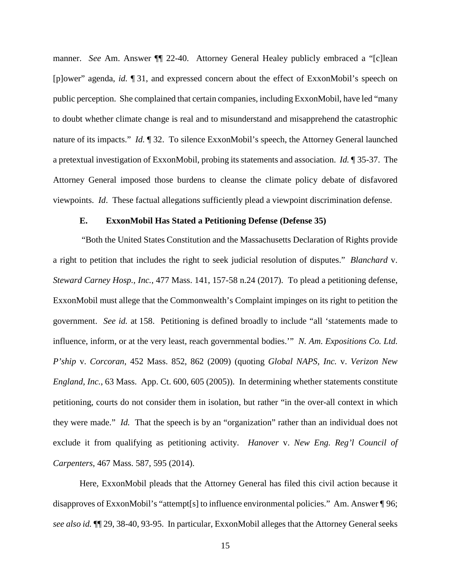manner. *See* Am. Answer ¶¶ 22-40. Attorney General Healey publicly embraced a "[c]lean [p]ower" agenda, *id.* ¶ 31, and expressed concern about the effect of ExxonMobil's speech on public perception. She complained that certain companies, including ExxonMobil, have led "many to doubt whether climate change is real and to misunderstand and misapprehend the catastrophic nature of its impacts." *Id.* ¶ 32. To silence ExxonMobil's speech, the Attorney General launched a pretextual investigation of ExxonMobil, probing its statements and association. *Id.* ¶ 35-37. The Attorney General imposed those burdens to cleanse the climate policy debate of disfavored viewpoints. *Id*. These factual allegations sufficiently plead a viewpoint discrimination defense.

#### **E. ExxonMobil Has Stated a Petitioning Defense (Defense 35)**

<span id="page-22-0"></span>"Both the United States Constitution and the Massachusetts Declaration of Rights provide a right to petition that includes the right to seek judicial resolution of disputes." *Blanchard* v. *Steward Carney Hosp., Inc.*, 477 Mass. 141, 157-58 n.24 (2017). To plead a petitioning defense, ExxonMobil must allege that the Commonwealth's Complaint impinges on its right to petition the government. *See id.* at 158. Petitioning is defined broadly to include "all 'statements made to influence, inform, or at the very least, reach governmental bodies.'" *N. Am. Expositions Co. Ltd. P'ship* v. *Corcoran*, 452 Mass. 852, 862 (2009) (quoting *Global NAPS, Inc.* v. *Verizon New England, Inc.*, 63 Mass. App. Ct. 600, 605 (2005)). In determining whether statements constitute petitioning, courts do not consider them in isolation, but rather "in the over-all context in which they were made." *Id.* That the speech is by an "organization" rather than an individual does not exclude it from qualifying as petitioning activity. *Hanover* v. *New Eng. Reg'l Council of Carpenters*, 467 Mass. 587, 595 (2014).

Here, ExxonMobil pleads that the Attorney General has filed this civil action because it disapproves of ExxonMobil's "attempt[s] to influence environmental policies." Am. Answer ¶ 96; *see also id.* ¶¶ 29, 38-40, 93-95. In particular, ExxonMobil alleges that the Attorney General seeks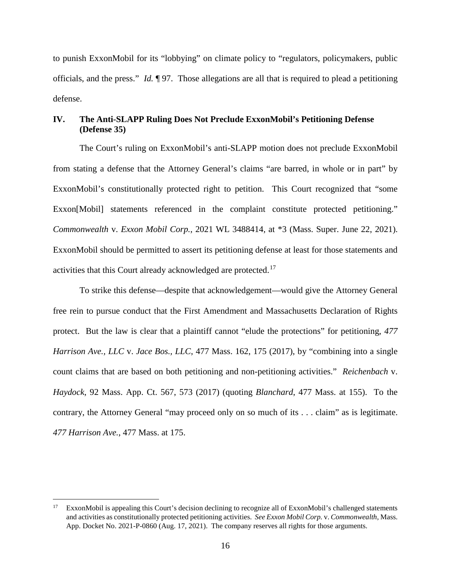to punish ExxonMobil for its "lobbying" on climate policy to "regulators, policymakers, public officials, and the press." *Id.* ¶ 97. Those allegations are all that is required to plead a petitioning defense.

## <span id="page-23-0"></span>**IV. The Anti-SLAPP Ruling Does Not Preclude ExxonMobil's Petitioning Defense (Defense 35)**

The Court's ruling on ExxonMobil's anti-SLAPP motion does not preclude ExxonMobil from stating a defense that the Attorney General's claims "are barred, in whole or in part" by ExxonMobil's constitutionally protected right to petition. This Court recognized that "some Exxon[Mobil] statements referenced in the complaint constitute protected petitioning." *Commonwealth* v. *Exxon Mobil Corp.*, 2021 WL 3488414, at \*3 (Mass. Super. June 22, 2021). ExxonMobil should be permitted to assert its petitioning defense at least for those statements and activities that this Court already acknowledged are protected.<sup>17</sup>

To strike this defense—despite that acknowledgement—would give the Attorney General free rein to pursue conduct that the First Amendment and Massachusetts Declaration of Rights protect. But the law is clear that a plaintiff cannot "elude the protections" for petitioning, *477 Harrison Ave., LLC* v. *Jace Bos., LLC*, 477 Mass. 162, 175 (2017), by "combining into a single count claims that are based on both petitioning and non-petitioning activities." *Reichenbach* v. *Haydock*, 92 Mass. App. Ct. 567, 573 (2017) (quoting *Blanchard*, 477 Mass. at 155). To the contrary, the Attorney General "may proceed only on so much of its . . . claim" as is legitimate. *477 Harrison Ave.*, 477 Mass. at 175.

<span id="page-23-1"></span><sup>&</sup>lt;sup>17</sup> ExxonMobil is appealing this Court's decision declining to recognize all of ExxonMobil's challenged statements and activities as constitutionally protected petitioning activities. *See Exxon Mobil Corp.* v. *Commonwealth*, Mass. App. Docket No. 2021-P-0860 (Aug. 17, 2021). The company reserves all rights for those arguments.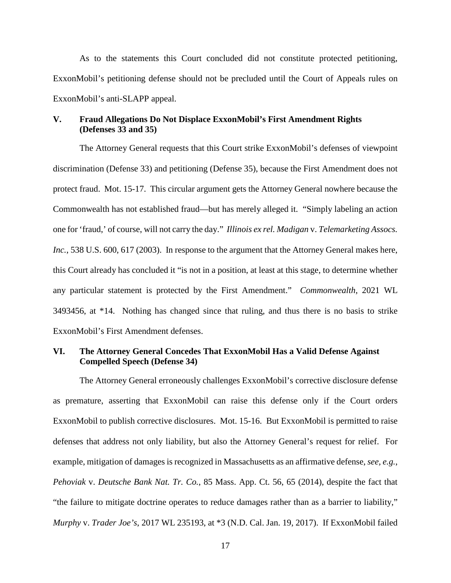As to the statements this Court concluded did not constitute protected petitioning, ExxonMobil's petitioning defense should not be precluded until the Court of Appeals rules on ExxonMobil's anti-SLAPP appeal.

### <span id="page-24-0"></span>**V. Fraud Allegations Do Not Displace ExxonMobil's First Amendment Rights (Defenses 33 and 35)**

The Attorney General requests that this Court strike ExxonMobil's defenses of viewpoint discrimination (Defense 33) and petitioning (Defense 35), because the First Amendment does not protect fraud. Mot. 15-17. This circular argument gets the Attorney General nowhere because the Commonwealth has not established fraud—but has merely alleged it. "Simply labeling an action one for 'fraud,' of course, will not carry the day." *Illinois ex rel. Madigan* v. *Telemarketing Assocs.* Inc., 538 U.S. 600, 617 (2003). In response to the argument that the Attorney General makes here, this Court already has concluded it "is not in a position, at least at this stage, to determine whether any particular statement is protected by the First Amendment." *Commonwealth*, 2021 WL 3493456, at \*14. Nothing has changed since that ruling, and thus there is no basis to strike ExxonMobil's First Amendment defenses.

### <span id="page-24-1"></span>**VI. The Attorney General Concedes That ExxonMobil Has a Valid Defense Against Compelled Speech (Defense 34)**

The Attorney General erroneously challenges ExxonMobil's corrective disclosure defense as premature, asserting that ExxonMobil can raise this defense only if the Court orders ExxonMobil to publish corrective disclosures. Mot. 15-16. But ExxonMobil is permitted to raise defenses that address not only liability, but also the Attorney General's request for relief. For example, mitigation of damages is recognized in Massachusetts as an affirmative defense, *see, e.g.*, *Pehoviak* v. *Deutsche Bank Nat. Tr. Co.*, 85 Mass. App. Ct. 56, 65 (2014), despite the fact that "the failure to mitigate doctrine operates to reduce damages rather than as a barrier to liability," *Murphy* v. *Trader Joe's*, 2017 WL 235193, at \*3 (N.D. Cal. Jan. 19, 2017).If ExxonMobil failed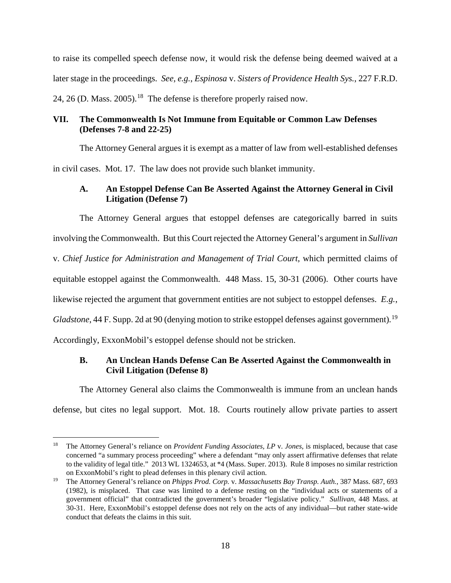to raise its compelled speech defense now, it would risk the defense being deemed waived at a later stage in the proceedings. *See, e.g.*, *Espinosa* v. *Sisters of Providence Health Sys.*, 227 F.R.D. 24, 26 (D. Mass. 2005).<sup>18</sup> The defense is therefore properly raised now.

# <span id="page-25-0"></span>**VII. The Commonwealth Is Not Immune from Equitable or Common Law Defenses (Defenses 7-8 and 22-25)**

The Attorney General argues it is exempt as a matter of law from well-established defenses in civil cases. Mot. 17. The law does not provide such blanket immunity.

# <span id="page-25-1"></span>**A. An Estoppel Defense Can Be Asserted Against the Attorney General in Civil Litigation (Defense 7)**

The Attorney General argues that estoppel defenses are categorically barred in suits involving the Commonwealth. But this Court rejected the Attorney General's argument in *Sullivan* v. *Chief Justice for Administration and Management of Trial Court*, which permitted claims of equitable estoppel against the Commonwealth. 448 Mass. 15, 30-31 (2006). Other courts have likewise rejected the argument that government entities are not subject to estoppel defenses. *E.g.*, Gladstone, 44 F. Supp. 2d at 90 (denying motion to strike estoppel defenses against government).<sup>[19](#page-25-4)</sup> Accordingly, ExxonMobil's estoppel defense should not be stricken.

# <span id="page-25-2"></span>**B. An Unclean Hands Defense Can Be Asserted Against the Commonwealth in Civil Litigation (Defense 8)**

The Attorney General also claims the Commonwealth is immune from an unclean hands defense, but cites no legal support. Mot. 18. Courts routinely allow private parties to assert

<span id="page-25-3"></span> <sup>18</sup> The Attorney General's reliance on *Provident Funding Associates, LP* v. *Jones*, is misplaced, because that case concerned "a summary process proceeding" where a defendant "may only assert affirmative defenses that relate to the validity of legal title." 2013 WL 1324653, at \*4 (Mass. Super. 2013). Rule 8 imposes no similar restriction on ExxonMobil's right to plead defenses in this plenary civil action.

<span id="page-25-4"></span><sup>19</sup> The Attorney General's reliance on *Phipps Prod. Corp.* v. *Massachusetts Bay Transp. Auth.*, 387 Mass. 687, 693 (1982), is misplaced. That case was limited to a defense resting on the "individual acts or statements of a government official" that contradicted the government's broader "legislative policy." *Sullivan*, 448 Mass. at 30-31. Here, ExxonMobil's estoppel defense does not rely on the acts of any individual—but rather state-wide conduct that defeats the claims in this suit.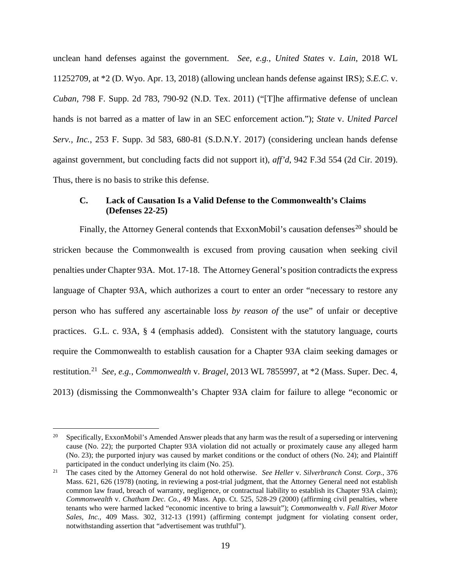unclean hand defenses against the government. *See, e.g.*, *United States* v. *Lain*, 2018 WL 11252709, at \*2 (D. Wyo. Apr. 13, 2018) (allowing unclean hands defense against IRS); *S.E.C.* v. *Cuban*, 798 F. Supp. 2d 783, 790-92 (N.D. Tex. 2011) ("[T]he affirmative defense of unclean hands is not barred as a matter of law in an SEC enforcement action."); *State* v. *United Parcel Serv., Inc.*, 253 F. Supp. 3d 583, 680-81 (S.D.N.Y. 2017) (considering unclean hands defense against government, but concluding facts did not support it), *aff'd*, 942 F.3d 554 (2d Cir. 2019). Thus, there is no basis to strike this defense.

## <span id="page-26-0"></span>**C. Lack of Causation Is a Valid Defense to the Commonwealth's Claims (Defenses 22-25)**

Finally, the Attorney General contends that ExxonMobil's causation defenses<sup>[20](#page-26-1)</sup> should be stricken because the Commonwealth is excused from proving causation when seeking civil penalties under Chapter 93A. Mot. 17-18. The Attorney General's position contradicts the express language of Chapter 93A, which authorizes a court to enter an order "necessary to restore any person who has suffered any ascertainable loss *by reason of* the use" of unfair or deceptive practices. G.L. c. 93A, § 4 (emphasis added). Consistent with the statutory language, courts require the Commonwealth to establish causation for a Chapter 93A claim seeking damages or restitution. [21](#page-26-2) *See, e.g.*, *Commonwealth* v. *Bragel*, 2013 WL 7855997, at \*2 (Mass. Super. Dec. 4, 2013) (dismissing the Commonwealth's Chapter 93A claim for failure to allege "economic or

<span id="page-26-1"></span><sup>&</sup>lt;sup>20</sup> Specifically, ExxonMobil's Amended Answer pleads that any harm was the result of a superseding or intervening cause (No. 22); the purported Chapter 93A violation did not actually or proximately cause any alleged harm (No. 23); the purported injury was caused by market conditions or the conduct of others (No. 24); and Plaintiff participated in the conduct underlying its claim (No. 25). 21 The cases cited by the Attorney General do not hold otherwise. *See Heller* v. *Silverbranch Const. Corp.*, 376

<span id="page-26-2"></span>Mass. 621, 626 (1978) (noting, in reviewing a post-trial judgment, that the Attorney General need not establish common law fraud, breach of warranty, negligence, or contractual liability to establish its Chapter 93A claim); *Commonwealth* v. *Chatham Dec. Co.*, 49 Mass. App. Ct. 525, 528-29 (2000) (affirming civil penalties, where tenants who were harmed lacked "economic incentive to bring a lawsuit"); *Commonwealth* v. *Fall River Motor Sales, Inc.*, 409 Mass. 302, 312-13 (1991) (affirming contempt judgment for violating consent order, notwithstanding assertion that "advertisement was truthful").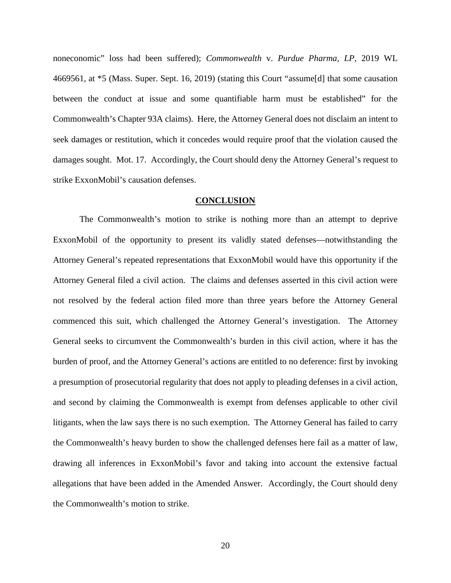noneconomic" loss had been suffered); *Commonwealth* v. *Purdue Pharma, LP*, 2019 WL 4669561, at \*5 (Mass. Super. Sept. 16, 2019) (stating this Court "assume[d] that some causation between the conduct at issue and some quantifiable harm must be established" for the Commonwealth's Chapter 93A claims). Here, the Attorney General does not disclaim an intent to seek damages or restitution, which it concedes would require proof that the violation caused the damages sought. Mot. 17. Accordingly, the Court should deny the Attorney General's request to strike ExxonMobil's causation defenses.

### **CONCLUSION**

<span id="page-27-0"></span>The Commonwealth's motion to strike is nothing more than an attempt to deprive ExxonMobil of the opportunity to present its validly stated defenses—notwithstanding the Attorney General's repeated representations that ExxonMobil would have this opportunity if the Attorney General filed a civil action. The claims and defenses asserted in this civil action were not resolved by the federal action filed more than three years before the Attorney General commenced this suit, which challenged the Attorney General's investigation. The Attorney General seeks to circumvent the Commonwealth's burden in this civil action, where it has the burden of proof, and the Attorney General's actions are entitled to no deference: first by invoking a presumption of prosecutorial regularity that does not apply to pleading defenses in a civil action, and second by claiming the Commonwealth is exempt from defenses applicable to other civil litigants, when the law says there is no such exemption. The Attorney General has failed to carry the Commonwealth's heavy burden to show the challenged defenses here fail as a matter of law, drawing all inferences in ExxonMobil's favor and taking into account the extensive factual allegations that have been added in the Amended Answer. Accordingly, the Court should deny the Commonwealth's motion to strike.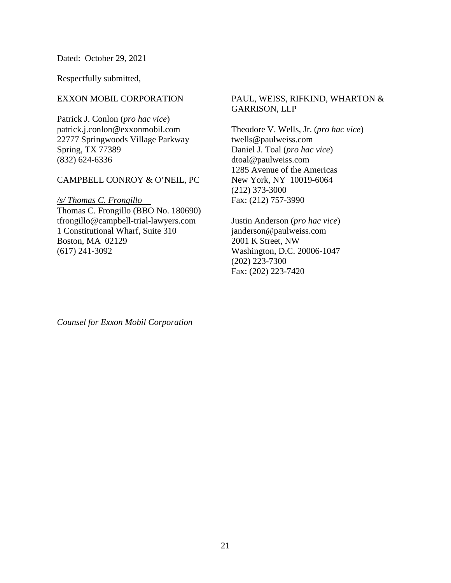Dated: October 29, 2021

Respectfully submitted,

### EXXON MOBIL CORPORATION

Patrick J. Conlon (*pro hac vice*) patrick.j.conlon@exxonmobil.com 22777 Springwoods Village Parkway Spring, TX 77389 (832) 624-6336

### CAMPBELL CONROY & O'NEIL, PC

*/s/ Thomas C. Frongillo .*

Thomas C. Frongillo (BBO No. 180690) tfrongillo@campbell-trial-lawyers.com 1 Constitutional Wharf, Suite 310 Boston, MA 02129 (617) 241-3092

## PAUL, WEISS, RIFKIND, WHARTON & GARRISON, LLP

Theodore V. Wells, Jr. (*pro hac vice*) twells@paulweiss.com Daniel J. Toal (*pro hac vice*) dtoal@paulweiss.com 1285 Avenue of the Americas New York, NY 10019-6064 (212) 373-3000 Fax: (212) 757-3990

Justin Anderson (*pro hac vice*) janderson@paulweiss.com 2001 K Street, NW Washington, D.C. 20006-1047 (202) 223-7300 Fax: (202) 223-7420

*Counsel for Exxon Mobil Corporation*